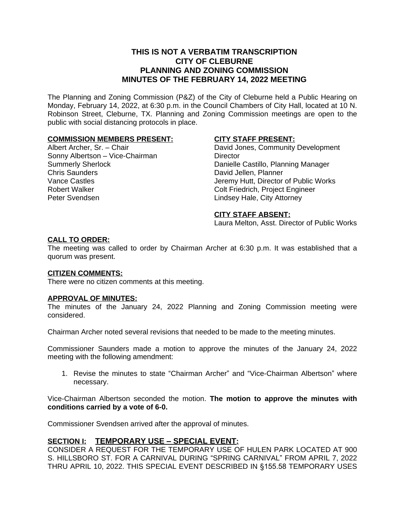# **THIS IS NOT A VERBATIM TRANSCRIPTION CITY OF CLEBURNE PLANNING AND ZONING COMMISSION MINUTES OF THE FEBRUARY 14, 2022 MEETING**

The Planning and Zoning Commission (P&Z) of the City of Cleburne held a Public Hearing on Monday, February 14, 2022, at 6:30 p.m. in the Council Chambers of City Hall, located at 10 N. Robinson Street, Cleburne, TX. Planning and Zoning Commission meetings are open to the public with social distancing protocols in place.

# **COMMISSION MEMBERS PRESENT:**

Albert Archer, Sr. – Chair Sonny Albertson – Vice-Chairman Summerly Sherlock Chris Saunders Vance Castles Robert Walker Peter Svendsen

# **CITY STAFF PRESENT:**

David Jones, Community Development **Director** Danielle Castillo, Planning Manager David Jellen, Planner Jeremy Hutt, Director of Public Works Colt Friedrich, Project Engineer Lindsey Hale, City Attorney

#### **CITY STAFF ABSENT:**

Laura Melton, Asst. Director of Public Works

#### **CALL TO ORDER:**

The meeting was called to order by Chairman Archer at 6:30 p.m. It was established that a quorum was present.

#### **CITIZEN COMMENTS:**

There were no citizen comments at this meeting.

#### **APPROVAL OF MINUTES:**

The minutes of the January 24, 2022 Planning and Zoning Commission meeting were considered.

Chairman Archer noted several revisions that needed to be made to the meeting minutes.

Commissioner Saunders made a motion to approve the minutes of the January 24, 2022 meeting with the following amendment:

1. Revise the minutes to state "Chairman Archer" and "Vice-Chairman Albertson" where necessary.

Vice-Chairman Albertson seconded the motion. **The motion to approve the minutes with conditions carried by a vote of 6-0.**

Commissioner Svendsen arrived after the approval of minutes.

# **SECTION I: TEMPORARY USE – SPECIAL EVENT:**

CONSIDER A REQUEST FOR THE TEMPORARY USE OF HULEN PARK LOCATED AT 900 S. HILLSBORO ST. FOR A CARNIVAL DURING "SPRING CARNIVAL" FROM APRIL 7, 2022 THRU APRIL 10, 2022. THIS SPECIAL EVENT DESCRIBED IN §155.58 TEMPORARY USES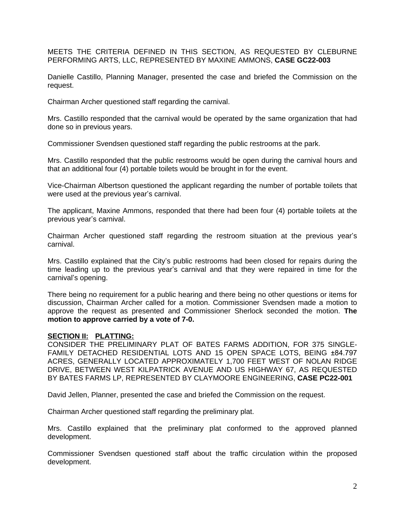MEETS THE CRITERIA DEFINED IN THIS SECTION, AS REQUESTED BY CLEBURNE PERFORMING ARTS, LLC, REPRESENTED BY MAXINE AMMONS, **CASE GC22-003**

Danielle Castillo, Planning Manager, presented the case and briefed the Commission on the request.

Chairman Archer questioned staff regarding the carnival.

Mrs. Castillo responded that the carnival would be operated by the same organization that had done so in previous years.

Commissioner Svendsen questioned staff regarding the public restrooms at the park.

Mrs. Castillo responded that the public restrooms would be open during the carnival hours and that an additional four (4) portable toilets would be brought in for the event.

Vice-Chairman Albertson questioned the applicant regarding the number of portable toilets that were used at the previous year's carnival.

The applicant, Maxine Ammons, responded that there had been four (4) portable toilets at the previous year's carnival.

Chairman Archer questioned staff regarding the restroom situation at the previous year's carnival.

Mrs. Castillo explained that the City's public restrooms had been closed for repairs during the time leading up to the previous year's carnival and that they were repaired in time for the carnival's opening.

There being no requirement for a public hearing and there being no other questions or items for discussion, Chairman Archer called for a motion. Commissioner Svendsen made a motion to approve the request as presented and Commissioner Sherlock seconded the motion. **The motion to approve carried by a vote of 7-0.**

#### **SECTION II: PLATTING:**

CONSIDER THE PRELIMINARY PLAT OF BATES FARMS ADDITION, FOR 375 SINGLE-FAMILY DETACHED RESIDENTIAL LOTS AND 15 OPEN SPACE LOTS, BEING ±84.797 ACRES, GENERALLY LOCATED APPROXIMATELY 1,700 FEET WEST OF NOLAN RIDGE DRIVE, BETWEEN WEST KILPATRICK AVENUE AND US HIGHWAY 67, AS REQUESTED BY BATES FARMS LP, REPRESENTED BY CLAYMOORE ENGINEERING, **CASE PC22-001**

David Jellen, Planner, presented the case and briefed the Commission on the request.

Chairman Archer questioned staff regarding the preliminary plat.

Mrs. Castillo explained that the preliminary plat conformed to the approved planned development.

Commissioner Svendsen questioned staff about the traffic circulation within the proposed development.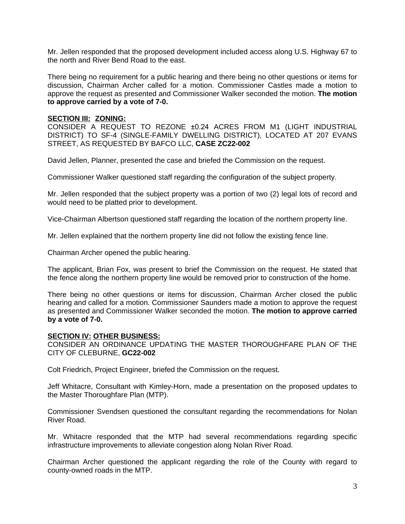Mr. Jellen responded that the proposed development included access along U.S. Highway 67 to the north and River Bend Road to the east.

There being no requirement for a public hearing and there being no other questions or items for discussion, Chairman Archer called for a motion. Commissioner Castles made a motion to approve the request as presented and Commissioner Walker seconded the motion. **The motion to approve carried by a vote of 7-0.**

# **SECTION III: ZONING:**

CONSIDER A REQUEST TO REZONE ±0.24 ACRES FROM M1 (LIGHT INDUSTRIAL DISTRICT) TO SF-4 (SINGLE-FAMILY DWELLING DISTRICT), LOCATED AT 207 EVANS STREET, AS REQUESTED BY BAFCO LLC, **CASE ZC22-002**

David Jellen, Planner, presented the case and briefed the Commission on the request.

Commissioner Walker questioned staff regarding the configuration of the subject property.

Mr. Jellen responded that the subject property was a portion of two (2) legal lots of record and would need to be platted prior to development.

Vice-Chairman Albertson questioned staff regarding the location of the northern property line.

Mr. Jellen explained that the northern property line did not follow the existing fence line.

Chairman Archer opened the public hearing.

The applicant, Brian Fox, was present to brief the Commission on the request. He stated that the fence along the northern property line would be removed prior to construction of the home.

There being no other questions or items for discussion, Chairman Archer closed the public hearing and called for a motion. Commissioner Saunders made a motion to approve the request as presented and Commissioner Walker seconded the motion. **The motion to approve carried by a vote of 7-0.**

#### **SECTION IV: OTHER BUSINESS:**

CONSIDER AN ORDINANCE UPDATING THE MASTER THOROUGHFARE PLAN OF THE CITY OF CLEBURNE, **GC22-002**

Colt Friedrich, Project Engineer, briefed the Commission on the request.

Jeff Whitacre, Consultant with Kimley-Horn, made a presentation on the proposed updates to the Master Thoroughfare Plan (MTP).

Commissioner Svendsen questioned the consultant regarding the recommendations for Nolan River Road.

Mr. Whitacre responded that the MTP had several recommendations regarding specific infrastructure improvements to alleviate congestion along Nolan River Road.

Chairman Archer questioned the applicant regarding the role of the County with regard to county-owned roads in the MTP.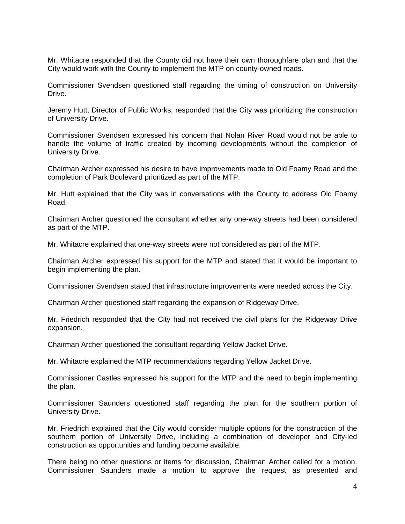Mr. Whitacre responded that the County did not have their own thoroughfare plan and that the City would work with the County to implement the MTP on county-owned roads.

Commissioner Svendsen questioned staff regarding the timing of construction on University Drive.

Jeremy Hutt, Director of Public Works, responded that the City was prioritizing the construction of University Drive.

Commissioner Svendsen expressed his concern that Nolan River Road would not be able to handle the volume of traffic created by incoming developments without the completion of University Drive.

Chairman Archer expressed his desire to have improvements made to Old Foamy Road and the completion of Park Boulevard prioritized as part of the MTP.

Mr. Hutt explained that the City was in conversations with the County to address Old Foamy Road.

Chairman Archer questioned the consultant whether any one-way streets had been considered as part of the MTP.

Mr. Whitacre explained that one-way streets were not considered as part of the MTP.

Chairman Archer expressed his support for the MTP and stated that it would be important to begin implementing the plan.

Commissioner Svendsen stated that infrastructure improvements were needed across the City.

Chairman Archer questioned staff regarding the expansion of Ridgeway Drive.

Mr. Friedrich responded that the City had not received the civil plans for the Ridgeway Drive expansion.

Chairman Archer questioned the consultant regarding Yellow Jacket Drive.

Mr. Whitacre explained the MTP recommendations regarding Yellow Jacket Drive.

Commissioner Castles expressed his support for the MTP and the need to begin implementing the plan.

Commissioner Saunders questioned staff regarding the plan for the southern portion of University Drive.

Mr. Friedrich explained that the City would consider multiple options for the construction of the southern portion of University Drive, including a combination of developer and City-led construction as opportunities and funding become available.

There being no other questions or items for discussion, Chairman Archer called for a motion. Commissioner Saunders made a motion to approve the request as presented and